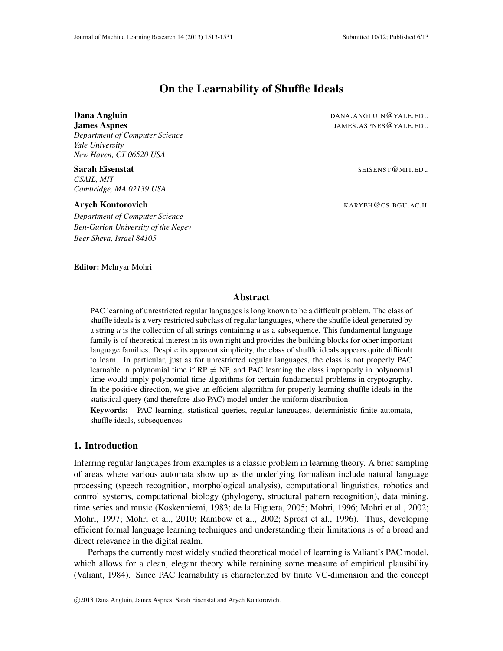# On the Learnability of Shuffle Ideals

*Department of Computer Science Yale University New Haven, CT 06520 USA*

*CSAIL, MIT Cambridge, MA 02139 USA*

Editor: Mehryar Mohri

*Department of Computer Science Ben-Gurion University of the Negev Beer Sheva, Israel 84105*

**Dana Angluin DANA.ANGLUIN@YALE.EDU James Aspnes JAMES.ASPNES@YALE.EDU** 

**Sarah Eisenstat** Seisenstat Seisenstat Seisenstat Seisenstate Seisenstate Seisenstate Seisenstate Seisenstate S

**Aryeh Kontorovich Example 2008 1999 10:00 KARYEH@CS.BGU.AC.IL** 

## Abstract

PAC learning of unrestricted regular languages is long known to be a difficult problem. The class of shuffle ideals is a very restricted subclass of regular languages, where the shuffle ideal generated by a string *u* is the collection of all strings containing *u* as a subsequence. This fundamental language family is of theoretical interest in its own right and provides the building blocks for other important language families. Despite its apparent simplicity, the class of shuffle ideals appears quite difficult to learn. In particular, just as for unrestricted regular languages, the class is not properly PAC learnable in polynomial time if  $RP \neq NP$ , and PAC learning the class improperly in polynomial time would imply polynomial time algorithms for certain fundamental problems in cryptography. In the positive direction, we give an efficient algorithm for properly learning shuffle ideals in the statistical query (and therefore also PAC) model under the uniform distribution.

Keywords: PAC learning, statistical queries, regular languages, deterministic finite automata, shuffle ideals, subsequences

# 1. Introduction

Inferring regular languages from examples is a classic problem in learning theory. A brief sampling of areas where various automata show up as the underlying formalism include natural language processing (speech recognition, morphological analysis), computational linguistics, robotics and control systems, computational biology (phylogeny, structural pattern recognition), data mining, time series and music (Koskenniemi, 1983; de la Higuera, 2005; Mohri, 1996; Mohri et al., 2002; Mohri, 1997; Mohri et al., 2010; Rambow et al., 2002; Sproat et al., 1996). Thus, developing efficient formal language learning techniques and understanding their limitations is of a broad and direct relevance in the digital realm.

Perhaps the currently most widely studied theoretical model of learning is Valiant's PAC model, which allows for a clean, elegant theory while retaining some measure of empirical plausibility (Valiant, 1984). Since PAC learnability is characterized by finite VC-dimension and the concept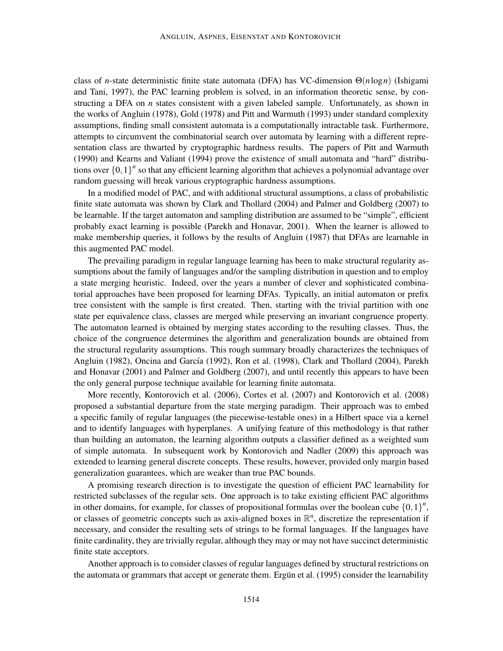class of *n*-state deterministic finite state automata (DFA) has VC-dimension Θ(*n*log*n*) (Ishigami and Tani, 1997), the PAC learning problem is solved, in an information theoretic sense, by constructing a DFA on *n* states consistent with a given labeled sample. Unfortunately, as shown in the works of Angluin (1978), Gold (1978) and Pitt and Warmuth (1993) under standard complexity assumptions, finding small consistent automata is a computationally intractable task. Furthermore, attempts to circumvent the combinatorial search over automata by learning with a different representation class are thwarted by cryptographic hardness results. The papers of Pitt and Warmuth (1990) and Kearns and Valiant (1994) prove the existence of small automata and "hard" distributions over  $\{0,1\}^n$  so that any efficient learning algorithm that achieves a polynomial advantage over random guessing will break various cryptographic hardness assumptions.

In a modified model of PAC, and with additional structural assumptions, a class of probabilistic finite state automata was shown by Clark and Thollard (2004) and Palmer and Goldberg (2007) to be learnable. If the target automaton and sampling distribution are assumed to be "simple", efficient probably exact learning is possible (Parekh and Honavar, 2001). When the learner is allowed to make membership queries, it follows by the results of Angluin (1987) that DFAs are learnable in this augmented PAC model.

The prevailing paradigm in regular language learning has been to make structural regularity assumptions about the family of languages and/or the sampling distribution in question and to employ a state merging heuristic. Indeed, over the years a number of clever and sophisticated combinatorial approaches have been proposed for learning DFAs. Typically, an initial automaton or prefix tree consistent with the sample is first created. Then, starting with the trivial partition with one state per equivalence class, classes are merged while preserving an invariant congruence property. The automaton learned is obtained by merging states according to the resulting classes. Thus, the choice of the congruence determines the algorithm and generalization bounds are obtained from the structural regularity assumptions. This rough summary broadly characterizes the techniques of Angluin (1982), Oncina and García (1992), Ron et al. (1998), Clark and Thollard (2004), Parekh and Honavar (2001) and Palmer and Goldberg (2007), and until recently this appears to have been the only general purpose technique available for learning finite automata.

More recently, Kontorovich et al. (2006), Cortes et al. (2007) and Kontorovich et al. (2008) proposed a substantial departure from the state merging paradigm. Their approach was to embed a specific family of regular languages (the piecewise-testable ones) in a Hilbert space via a kernel and to identify languages with hyperplanes. A unifying feature of this methodology is that rather than building an automaton, the learning algorithm outputs a classifier defined as a weighted sum of simple automata. In subsequent work by Kontorovich and Nadler (2009) this approach was extended to learning general discrete concepts. These results, however, provided only margin based generalization guarantees, which are weaker than true PAC bounds.

A promising research direction is to investigate the question of efficient PAC learnability for restricted subclasses of the regular sets. One approach is to take existing efficient PAC algorithms in other domains, for example, for classes of propositional formulas over the boolean cube  ${0,1}^n$ , or classes of geometric concepts such as axis-aligned boxes in  $\mathbb{R}^n$ , discretize the representation if necessary, and consider the resulting sets of strings to be formal languages. If the languages have finite cardinality, they are trivially regular, although they may or may not have succinct deterministic finite state acceptors.

Another approach is to consider classes of regular languages defined by structural restrictions on the automata or grammars that accept or generate them. Ergun et al. (1995) consider the learnability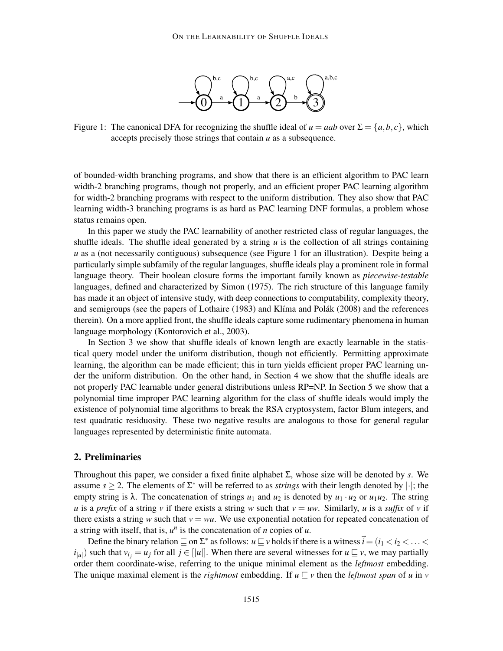

Figure 1: The canonical DFA for recognizing the shuffle ideal of  $u = aab$  over  $\Sigma = \{a, b, c\}$ , which accepts precisely those strings that contain *u* as a subsequence.

of bounded-width branching programs, and show that there is an efficient algorithm to PAC learn width-2 branching programs, though not properly, and an efficient proper PAC learning algorithm for width-2 branching programs with respect to the uniform distribution. They also show that PAC learning width-3 branching programs is as hard as PAC learning DNF formulas, a problem whose status remains open.

In this paper we study the PAC learnability of another restricted class of regular languages, the shuffle ideals. The shuffle ideal generated by a string *u* is the collection of all strings containing *u* as a (not necessarily contiguous) subsequence (see Figure 1 for an illustration). Despite being a particularly simple subfamily of the regular languages, shuffle ideals play a prominent role in formal language theory. Their boolean closure forms the important family known as *piecewise-testable* languages, defined and characterized by Simon (1975). The rich structure of this language family has made it an object of intensive study, with deep connections to computability, complexity theory, and semigroups (see the papers of Lothaire (1983) and Klíma and Polák (2008) and the references therein). On a more applied front, the shuffle ideals capture some rudimentary phenomena in human language morphology (Kontorovich et al., 2003).

In Section 3 we show that shuffle ideals of known length are exactly learnable in the statistical query model under the uniform distribution, though not efficiently. Permitting approximate learning, the algorithm can be made efficient; this in turn yields efficient proper PAC learning under the uniform distribution. On the other hand, in Section 4 we show that the shuffle ideals are not properly PAC learnable under general distributions unless RP=NP. In Section 5 we show that a polynomial time improper PAC learning algorithm for the class of shuffle ideals would imply the existence of polynomial time algorithms to break the RSA cryptosystem, factor Blum integers, and test quadratic residuosity. These two negative results are analogous to those for general regular languages represented by deterministic finite automata.

# 2. Preliminaries

Throughout this paper, we consider a fixed finite alphabet Σ, whose size will be denoted by *s*. We assume  $s \geq 2$ . The elements of  $\Sigma^*$  will be referred to as *strings* with their length denoted by  $|\cdot|$ ; the empty string is  $\lambda$ . The concatenation of strings  $u_1$  and  $u_2$  is denoted by  $u_1 \cdot u_2$  or  $u_1u_2$ . The string *u* is a *prefix* of a string *v* if there exists a string *w* such that  $v = uw$ . Similarly, *u* is a *suffix* of *v* if there exists a string *w* such that  $v = wu$ . We use exponential notation for repeated concatenation of a string with itself, that is,  $u^n$  is the concatenation of *n* copies of *u*.

Define the binary relation  $\sqsubseteq$  on  $\Sigma^*$  as follows:  $u\sqsubseteq v$  holds if there is a witness  $\vec{i} = (i_1 < i_2 < \ldots <$  $i_{|u|}$ ) such that  $v_i = u_j$  for all  $j \in [|u|]$ . When there are several witnesses for  $u \subseteq v$ , we may partially order them coordinate-wise, referring to the unique minimal element as the *leftmost* embedding. The unique maximal element is the *rightmost* embedding. If  $u \sqsubset v$  then the *leftmost span* of *u* in *v*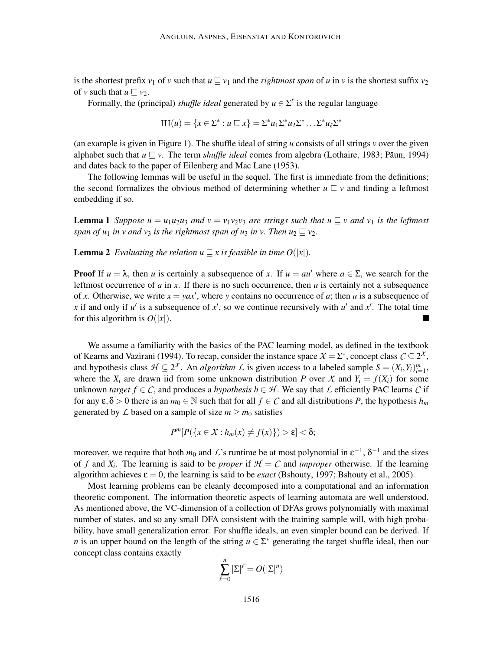is the shortest prefix *v*<sub>1</sub> of *v* such that  $u \sqsubseteq v_1$  and the *rightmost span* of *u* in *v* is the shortest suffix  $v_2$ of *v* such that  $u \sqsubset v_2$ .

Formally, the (principal) *shuffle ideal* generated by  $u \in \Sigma^{\ell}$  is the regular language

$$
\amalg I(u) = \{x \in \Sigma^* : u \sqsubseteq x\} = \Sigma^* u_1 \Sigma^* u_2 \Sigma^* \dots \Sigma^* u_\ell \Sigma^*
$$

(an example is given in Figure 1). The shuffle ideal of string *u* consists of all strings *v* over the given alphabet such that  $u \sqsubseteq v$ . The term *shuffle ideal* comes from algebra (Lothaire, 1983; Păun, 1994) and dates back to the paper of Eilenberg and Mac Lane (1953).

The following lemmas will be useful in the sequel. The first is immediate from the definitions; the second formalizes the obvious method of determining whether  $u \sqsubseteq v$  and finding a leftmost embedding if so.

**Lemma 1** *Suppose u* =  $u_1u_2u_3$  *and*  $v = v_1v_2v_3$  *are strings such that*  $u \sqsubseteq v$  *and*  $v_1$  *is the leftmost span of u<sub>1</sub> in v and v<sub>3</sub> is the rightmost span of u<sub>3</sub> in v. Then*  $u_2 \sqsubseteq v_2$ *.* 

**Lemma 2** *Evaluating the relation u*  $\subseteq$  *x is feasible in time O*(|*x*|).

**Proof** If  $u = \lambda$ , then *u* is certainly a subsequence of *x*. If  $u = au'$  where  $a \in \Sigma$ , we search for the leftmost occurrence of  $a$  in  $x$ . If there is no such occurrence, then  $u$  is certainly not a subsequence of *x*. Otherwise, we write  $x = yax'$ , where *y* contains no occurrence of *a*; then *u* is a subsequence of x if and only if  $u'$  is a subsequence of  $x'$ , so we continue recursively with  $u'$  and  $x'$ . The total time for this algorithm is  $O(|x|)$ .

We assume a familiarity with the basics of the PAC learning model, as defined in the textbook of Kearns and Vazirani (1994). To recap, consider the instance space  $X = \Sigma^*$ , concept class  $C \subseteq 2^X$ , and hypothesis class  $\mathcal{H} \subseteq 2^{\chi}$ . An *algorithm*  $\mathcal{L}$  is given access to a labeled sample  $S = (X_i, Y_i)_{i=1}^m$ , where the  $X_i$  are drawn iid from some unknown distribution *P* over *X* and  $Y_i = f(X_i)$  for some unknown *target*  $f \in C$ , and produces a *hypothesis*  $h \in H$ . We say that  $\mathcal L$  efficiently PAC learns  $C$  if for any  $\varepsilon, \delta > 0$  there is an  $m_0 \in \mathbb{N}$  such that for all  $f \in \mathcal{C}$  and all distributions *P*, the hypothesis  $h_m$ generated by  $\angle$  based on a sample of size  $m \ge m_0$  satisfies

$$
P^m[P(\lbrace x \in X : h_m(x) \neq f(x) \rbrace) > \varepsilon] < \delta;
$$

moreover, we require that both  $m_0$  and  $\mathcal{L}$ 's runtime be at most polynomial in  $\epsilon^{-1}$ ,  $\delta^{-1}$  and the sizes of *f* and  $X_i$ . The learning is said to be *proper* if  $H = C$  and *improper* otherwise. If the learning algorithm achieves  $\varepsilon = 0$ , the learning is said to be *exact* (Bshouty, 1997; Bshouty et al., 2005).

Most learning problems can be cleanly decomposed into a computational and an information theoretic component. The information theoretic aspects of learning automata are well understood. As mentioned above, the VC-dimension of a collection of DFAs grows polynomially with maximal number of states, and so any small DFA consistent with the training sample will, with high probability, have small generalization error. For shuffle ideals, an even simpler bound can be derived. If *n* is an upper bound on the length of the string  $u \in \Sigma^*$  generating the target shuffle ideal, then our concept class contains exactly

$$
\sum_{\ell=0}^n |\Sigma|^{\ell}=O(|\Sigma|^n)
$$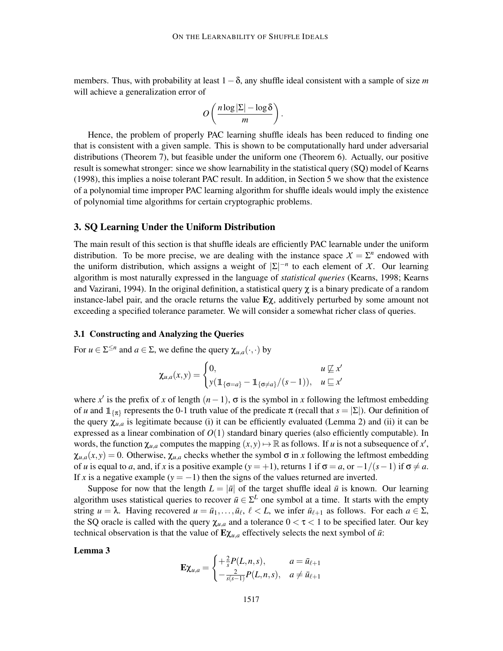members. Thus, with probability at least 1−δ, any shuffle ideal consistent with a sample of size *m* will achieve a generalization error of

.

$$
O\left(\frac{n\log|\Sigma| - \log \delta}{m}\right)
$$

Hence, the problem of properly PAC learning shuffle ideals has been reduced to finding one that is consistent with a given sample. This is shown to be computationally hard under adversarial distributions (Theorem 7), but feasible under the uniform one (Theorem 6). Actually, our positive result is somewhat stronger: since we show learnability in the statistical query (SQ) model of Kearns (1998), this implies a noise tolerant PAC result. In addition, in Section 5 we show that the existence of a polynomial time improper PAC learning algorithm for shuffle ideals would imply the existence of polynomial time algorithms for certain cryptographic problems.

# 3. SQ Learning Under the Uniform Distribution

The main result of this section is that shuffle ideals are efficiently PAC learnable under the uniform distribution. To be more precise, we are dealing with the instance space  $X = \sum^n$  endowed with the uniform distribution, which assigns a weight of  $|\Sigma|^{-n}$  to each element of *X*. Our learning algorithm is most naturally expressed in the language of *statistical queries* (Kearns, 1998; Kearns and Vazirani, 1994). In the original definition, a statistical query  $\chi$  is a binary predicate of a random instance-label pair, and the oracle returns the value  $E\chi$ , additively perturbed by some amount not exceeding a specified tolerance parameter. We will consider a somewhat richer class of queries.

# 3.1 Constructing and Analyzing the Queries

For  $u \in \Sigma^{\leq n}$  and  $a \in \Sigma$ , we define the query  $\chi_{u,a}(\cdot,\cdot)$  by

$$
\chi_{u,a}(x,y) = \begin{cases} 0, & u \not\sqsubseteq x' \\ y(\mathbb{1}_{\{\sigma=a\}} - \mathbb{1}_{\{\sigma \neq a\}}/(s-1)), & u \sqsubseteq x' \end{cases}
$$

where x' is the prefix of x of length  $(n-1)$ ,  $\sigma$  is the symbol in x following the leftmost embedding of *u* and  $\mathbb{1}_{\{\pi\}}$  represents the 0-1 truth value of the predicate  $\pi$  (recall that  $s = |\Sigma|$ ). Our definition of the query  $\chi_{u,a}$  is legitimate because (i) it can be efficiently evaluated (Lemma 2) and (ii) it can be expressed as a linear combination of  $O(1)$  standard binary queries (also efficiently computable). In words, the function  $\chi_{u,a}$  computes the mapping  $(x, y) \mapsto \mathbb{R}$  as follows. If *u* is not a subsequence of *x*<sup>'</sup>,  $\chi_{u,a}(x, y) = 0$ . Otherwise,  $\chi_{u,a}$  checks whether the symbol  $\sigma$  in *x* following the leftmost embedding of *u* is equal to *a*, and, if *x* is a positive example ( $y = +1$ ), returns 1 if  $\sigma = a$ , or  $-1/(s-1)$  if  $\sigma \neq a$ . If *x* is a negative example ( $y = -1$ ) then the signs of the values returned are inverted.

Suppose for now that the length  $L = |\bar{u}|$  of the target shuffle ideal  $\bar{u}$  is known. Our learning algorithm uses statistical queries to recover  $\bar{u} \in \Sigma^L$  one symbol at a time. It starts with the empty string  $u = \lambda$ . Having recovered  $u = \bar{u}_1, \ldots, \bar{u}_\ell, \ell < L$ , we infer  $\bar{u}_{\ell+1}$  as follows. For each  $a \in \Sigma$ , the SQ oracle is called with the query  $\chi_{u,a}$  and a tolerance  $0 < \tau < 1$  to be specified later. Our key technical observation is that the value of  $E\chi_{u,a}$  effectively selects the next symbol of  $\bar{u}$ :

### Lemma 3

$$
\mathbf{E}\chi_{u,a} = \begin{cases} +\frac{2}{s}P(L,n,s), & a = \bar{u}_{\ell+1} \\ -\frac{2}{s(s-1)}P(L,n,s), & a \neq \bar{u}_{\ell+1} \end{cases}
$$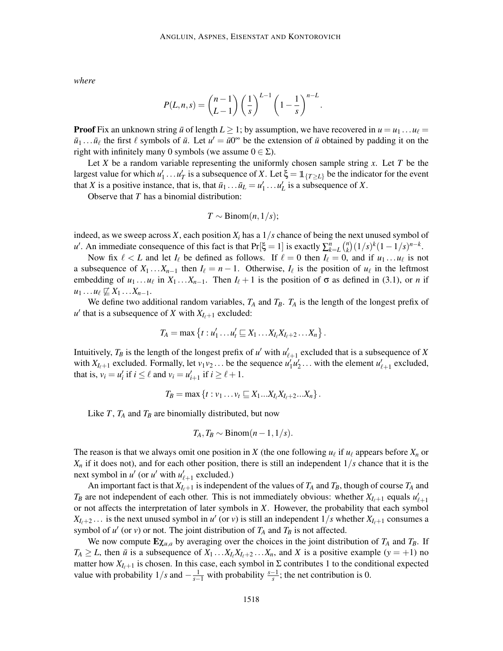*where*

$$
P(L,n,s) = {n-1 \choose L-1} \left(\frac{1}{s}\right)^{L-1} \left(1-\frac{1}{s}\right)^{n-L}.
$$

**Proof** Fix an unknown string  $\bar{u}$  of length  $L \geq 1$ ; by assumption, we have recovered in  $u = u_1 \dots u_\ell =$  $\bar{u}_1 \dots \bar{u}_\ell$  the first  $\ell$  symbols of  $\bar{u}$ . Let  $u' = \bar{u}0^\infty$  be the extension of  $\bar{u}$  obtained by padding it on the right with infinitely many 0 symbols (we assume  $0 \in \Sigma$ ).

Let *X* be a random variable representing the uniformly chosen sample string *x*. Let *T* be the largest value for which  $u'_1 \dots u'_T$  is a subsequence of X. Let  $\xi = \mathbb{1}_{\{T \ge L\}}$  be the indicator for the event that *X* is a positive instance, that is, that  $\bar{u}_1 \dots \bar{u}_L = u'_1 \dots u'_L$  is a subsequence of *X*.

Observe that *T* has a binomial distribution:

$$
T \sim \text{Binom}(n, 1/s);
$$

indeed, as we sweep across *X*, each position  $X_i$  has a  $1/s$  chance of being the next unused symbol of *u*<sup> $\prime$ </sup>. An immediate consequence of this fact is that  $Pr[\xi = 1]$  is exactly  $\sum_{k=L}^{n} {n \choose k}$  $\binom{n}{k} (1/s)^k (1-1/s)^{n-k}.$ 

Now fix  $\ell < L$  and let  $I_{\ell}$  be defined as follows. If  $\ell = 0$  then  $I_{\ell} = 0$ , and if  $u_1 \dots u_{\ell}$  is not a subsequence of  $X_1 \ldots X_{n-1}$  then  $I_\ell = n-1$ . Otherwise,  $I_\ell$  is the position of  $u_\ell$  in the leftmost embedding of  $u_1 \ldots u_\ell$  in  $X_1 \ldots X_{n-1}$ . Then  $I_\ell + 1$  is the position of  $\sigma$  as defined in (3.1), or *n* if  $u_1 \ldots u_\ell \not\sqsubseteq X_1 \ldots X_{n-1}.$ 

We define two additional random variables,  $T_A$  and  $T_B$ .  $T_A$  is the length of the longest prefix of  $u'$  that is a subsequence of *X* with  $X_{I_{\ell+1}}$  excluded:

$$
T_A=\max\left\{t:u'_1\ldots u'_t\sqsubseteq X_1\ldots X_{I_\ell}X_{I_\ell+2}\ldots X_n\right\}.
$$

Intuitively,  $T_B$  is the length of the longest prefix of *u'* with  $u'_{\ell+1}$  excluded that is a subsequence of *X* with  $X_{l_{\ell+1}}$  excluded. Formally, let  $v_1v_2...$  be the sequence  $u'_1u'_2...$  with the element  $u'_{\ell+1}$  excluded, that is,  $v_i = u'_i$  if  $i \leq \ell$  and  $v_i = u'_{i+1}$  if  $i \geq \ell + 1$ .

$$
T_B=\max\left\{t:v_1\ldots v_t\sqsubseteq X_1\ldots X_{I_\ell}X_{I_\ell+2}\ldots X_n\right\}.
$$

Like  $T$ ,  $T_A$  and  $T_B$  are binomially distributed, but now

$$
T_A, T_B \sim \text{Binom}(n-1,1/s).
$$

The reason is that we always omit one position in *X* (the one following  $u_{\ell}$  if  $u_{\ell}$  appears before  $X_n$  or  $X_n$  if it does not), and for each other position, there is still an independent  $1/s$  chance that it is the next symbol in  $u'$  (or  $u'$  with  $u'_{\ell+1}$  excluded.)

An important fact is that  $X_{I_f+1}$  is independent of the values of  $T_A$  and  $T_B$ , though of course  $T_A$  and  $T_B$  are not independent of each other. This is not immediately obvious: whether  $X_{I_{\ell+1}}$  equals  $u'_{\ell+1}$ or not affects the interpretation of later symbols in *X*. However, the probability that each symbol  $X_{I_{\ell}+2}$ ... is the next unused symbol in *u'* (or *v*) is still an independent  $1/s$  whether  $X_{I_{\ell}+1}$  consumes a symbol of  $u'$  (or  $v$ ) or not. The joint distribution of  $T_A$  and  $T_B$  is not affected.

We now compute  $\mathbf{E}\chi_{u,a}$  by averaging over the choices in the joint distribution of  $T_A$  and  $T_B$ . If  $T_A \ge L$ , then  $\bar{u}$  is a subsequence of  $X_1 \dots X_l X_{l+2} \dots X_n$ , and *X* is a positive example (*y* = +1) no matter how  $X_{I_{\ell+1}}$  is chosen. In this case, each symbol in  $\Sigma$  contributes 1 to the conditional expected value with probability  $1/s$  and  $-\frac{1}{s-1}$  with probability  $\frac{s-1}{s}$ ; the net contribution is 0.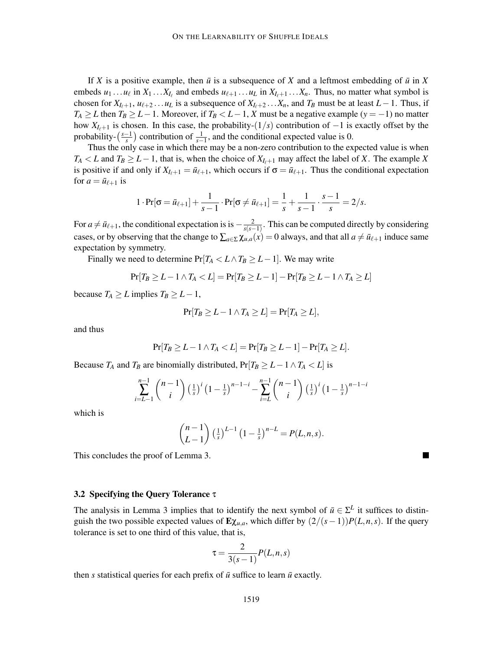If *X* is a positive example, then  $\bar{u}$  is a subsequence of *X* and a leftmost embedding of  $\bar{u}$  in *X* embeds  $u_1 \ldots u_\ell$  in  $X_1 \ldots X_{I_\ell}$  and embeds  $u_{\ell+1} \ldots u_L$  in  $X_{I_\ell+1} \ldots X_n$ . Thus, no matter what symbol is chosen for  $X_{I_{\ell}+1}$ ,  $u_{\ell+2}$ ... $u_L$  is a subsequence of  $X_{I_{\ell}+2}$ ... $X_n$ , and  $T_B$  must be at least  $L-1$ . Thus, if *T*<sup>*A*</sup> ≥ *L* then *T*<sup>*B*</sup> ≥ *L* − 1. Moreover, if *T*<sup>*B*</sup> < *L* − 1, *X* must be a negative example (*y* = −1) no matter how *XI*ℓ+<sup>1</sup> is chosen. In this case, the probability-(1/*s*) contribution of −1 is exactly offset by the probability- $\left(\frac{s-1}{s}\right)$  contribution of  $\frac{1}{s-1}$ , and the conditional expected value is 0.

Thus the only case in which there may be a non-zero contribution to the expected value is when *T*<sup>*A*</sup> < *L* and *T*<sup>*B*</sup> ≥ *L* − 1, that is, when the choice of  $X_{I_f+1}$  may affect the label of *X*. The example *X* is positive if and only if  $X_{I_{\ell+1}} = \bar{u}_{\ell+1}$ , which occurs if  $\sigma = \bar{u}_{\ell+1}$ . Thus the conditional expectation for  $a = \bar{u}_{\ell+1}$  is

$$
1 \cdot \Pr[\sigma = \bar{u}_{\ell+1}] + \frac{1}{s-1} \cdot \Pr[\sigma \neq \bar{u}_{\ell+1}] = \frac{1}{s} + \frac{1}{s-1} \cdot \frac{s-1}{s} = 2/s.
$$

For  $a \neq \bar{u}_{\ell+1}$ , the conditional expectation is is  $-\frac{2}{s(s-1)}$  $\frac{2}{s(s-1)}$ . This can be computed directly by considering cases, or by observing that the change to  $\sum_{a \in \Sigma} \chi_{u,a}(x) = 0$  always, and that all  $a \neq \bar{u}_{\ell+1}$  induce same expectation by symmetry.

Finally we need to determine  $Pr[T_A < L \land T_B \geq L-1]$ . We may write

$$
\Pr[T_B \geq L-1 \land T_A < L] = \Pr[T_B \geq L-1] - \Pr[T_B \geq L-1 \land T_A \geq L]
$$

because  $T_A \geq L$  implies  $T_B \geq L - 1$ ,

$$
Pr[T_B \geq L - 1 \wedge T_A \geq L] = Pr[T_A \geq L],
$$

and thus

$$
\Pr[T_B \geq L-1 \wedge T_A < L] = \Pr[T_B \geq L-1] - \Pr[T_A \geq L].
$$

Because *T<sub>A</sub>* and *T<sub>B</sub>* are binomially distributed,  $Pr[T_B \ge L - 1 \land T_A < L]$  is

$$
\sum_{i=L-1}^{n-1} {n-1 \choose i} \left(\frac{1}{s}\right)^i \left(1-\frac{1}{s}\right)^{n-1-i} - \sum_{i=L}^{n-1} {n-1 \choose i} \left(\frac{1}{s}\right)^i \left(1-\frac{1}{s}\right)^{n-1-i}
$$

which is

$$
\binom{n-1}{L-1} \left(\frac{1}{s}\right)^{L-1} \left(1-\frac{1}{s}\right)^{n-L} = P(L,n,s).
$$

This concludes the proof of Lemma 3.

### 3.2 Specifying the Query Tolerance τ

The analysis in Lemma 3 implies that to identify the next symbol of  $\bar{u} \in \Sigma^L$  it suffices to distinguish the two possible expected values of  $\mathbf{E}\chi_{u,a}$ , which differ by  $\left(\frac{2}{s-1}\right)P(L,n,s)$ . If the query tolerance is set to one third of this value, that is,

$$
\tau = \frac{2}{3(s-1)}P(L,n,s)
$$

then *s* statistical queries for each prefix of  $\bar{u}$  suffice to learn  $\bar{u}$  exactly.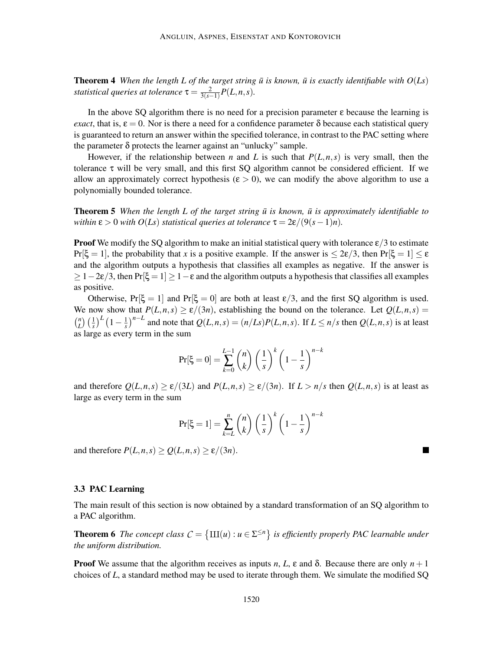**Theorem 4** When the length L of the target string  $\bar{u}$  is known,  $\bar{u}$  is exactly identifiable with  $O(Ls)$ *statistical queries at tolerance*  $\tau = \frac{2}{3(s-1)}$  $\frac{2}{3(s-1)}P(L,n,s)$ .

In the above SQ algorithm there is no need for a precision parameter  $\varepsilon$  because the learning is *exact*, that is,  $\varepsilon = 0$ . Nor is there a need for a confidence parameter  $\delta$  because each statistical query is guaranteed to return an answer within the specified tolerance, in contrast to the PAC setting where the parameter  $\delta$  protects the learner against an "unlucky" sample.

However, if the relationship between *n* and *L* is such that  $P(L, n, s)$  is very small, then the tolerance  $\tau$  will be very small, and this first SQ algorithm cannot be considered efficient. If we allow an approximately correct hypothesis ( $\varepsilon > 0$ ), we can modify the above algorithm to use a polynomially bounded tolerance.

**Theorem 5** *When the length L of the target string*  $\bar{u}$  *is known,*  $\bar{u}$  *is approximately identifiable to within*  $\varepsilon > 0$  *with*  $O(Ls)$  *statistical queries at tolerance*  $\tau = 2\varepsilon/(9(s-1)n)$ .

**Proof** We modify the SQ algorithm to make an initial statistical query with tolerance  $\epsilon/3$  to estimate  $Pr[\xi = 1]$ , the probability that *x* is a positive example. If the answer is  $\leq 2\varepsilon/3$ , then  $Pr[\xi = 1] \leq \varepsilon$ and the algorithm outputs a hypothesis that classifies all examples as negative. If the answer is  $\geq 1-2\varepsilon/3$ , then Pr[ $\xi = 1$ ]  $\geq 1-\varepsilon$  and the algorithm outputs a hypothesis that classifies all examples as positive.

Otherwise,  $Pr[\xi = 1]$  and  $Pr[\xi = 0]$  are both at least  $\epsilon/3$ , and the first SQ algorithm is used. We now show that  $P(L,n,s) \ge \frac{\varepsilon}{3n}$ , establishing the bound on the tolerance. Let  $Q(L,n,s) =$  $\binom{n}{I}$  $\binom{n}{L}\left(\frac{1}{s}\right)^L\left(1-\frac{1}{s}\right)$  $\frac{1}{s}$ )<sup>*n*−*L*</sup> and note that  $Q(L,n,s) = (n/Ls)P(L,n,s)$ . If  $L \le n/s$  then  $Q(L,n,s)$  is at least as large as every term in the sum

$$
\Pr[\xi = 0] = \sum_{k=0}^{L-1} \binom{n}{k} \left(\frac{1}{s}\right)^k \left(1 - \frac{1}{s}\right)^{n-k}
$$

and therefore  $Q(L, n, s) \ge \varepsilon/(3L)$  and  $P(L, n, s) \ge \varepsilon/(3n)$ . If  $L > n/s$  then  $Q(L, n, s)$  is at least as large as every term in the sum

$$
\Pr[\xi = 1] = \sum_{k=L}^{n} {n \choose k} \left(\frac{1}{s}\right)^k \left(1 - \frac{1}{s}\right)^{n-k}
$$

 $\blacksquare$ 

and therefore  $P(L, n, s) \ge Q(L, n, s) \ge \varepsilon/(3n)$ .

# 3.3 PAC Learning

The main result of this section is now obtained by a standard transformation of an SQ algorithm to a PAC algorithm.

**Theorem 6** The concept class  $C = \{ \text{III}(u) : u \in \Sigma^{\leq n} \}$  is efficiently properly PAC learnable under *the uniform distribution.*

**Proof** We assume that the algorithm receives as inputs *n*, *L*,  $\varepsilon$  and  $\delta$ . Because there are only  $n+1$ choices of *L*, a standard method may be used to iterate through them. We simulate the modified SQ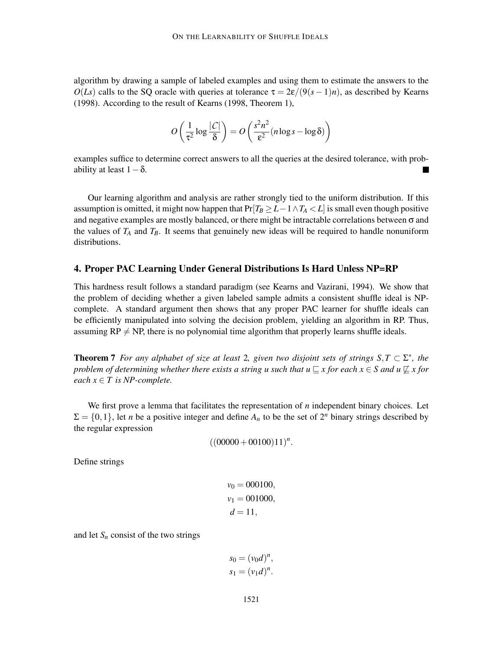algorithm by drawing a sample of labeled examples and using them to estimate the answers to the  $O(Ls)$  calls to the SQ oracle with queries at tolerance  $\tau = 2\varepsilon/(9(s-1)n)$ , as described by Kearns (1998). According to the result of Kearns (1998, Theorem 1),

$$
O\left(\frac{1}{\tau^2}\log\frac{|C|}{\delta}\right) = O\left(\frac{s^2n^2}{\epsilon^2}(n\log s - \log \delta)\right)
$$

examples suffice to determine correct answers to all the queries at the desired tolerance, with probability at least  $1-\delta$ .

Our learning algorithm and analysis are rather strongly tied to the uniform distribution. If this assumption is omitted, it might now happen that  $Pr[T_B \ge L - 1 \land T_A < L]$  is small even though positive and negative examples are mostly balanced, or there might be intractable correlations between  $\sigma$  and the values of  $T_A$  and  $T_B$ . It seems that genuinely new ideas will be required to handle nonuniform distributions.

# 4. Proper PAC Learning Under General Distributions Is Hard Unless NP=RP

This hardness result follows a standard paradigm (see Kearns and Vazirani, 1994). We show that the problem of deciding whether a given labeled sample admits a consistent shuffle ideal is NPcomplete. A standard argument then shows that any proper PAC learner for shuffle ideals can be efficiently manipulated into solving the decision problem, yielding an algorithm in RP. Thus, assuming  $RP \neq NP$ , there is no polynomial time algorithm that properly learns shuffle ideals.

**Theorem 7** For any alphabet of size at least 2, given two disjoint sets of strings  $S, T \subset \Sigma^*$ , the *problem of determining whether there exists a string u such that*  $u \sqsubseteq x$  *for each*  $x \in S$  *and*  $u \not\sqsubseteq x$  for *each*  $x \in T$  *is NP-complete.* 

We first prove a lemma that facilitates the representation of *n* independent binary choices. Let  $\Sigma = \{0,1\}$ , let *n* be a positive integer and define  $A_n$  to be the set of  $2^n$  binary strings described by the regular expression

 $((00000 + 00100)11)^n$ .

Define strings

$$
v_0 = 000100,
$$
  

$$
v_1 = 001000,
$$
  

$$
d = 11,
$$

and let  $S_n$  consist of the two strings

$$
s_0 = (v_0 d)^n,
$$
  

$$
s_1 = (v_1 d)^n.
$$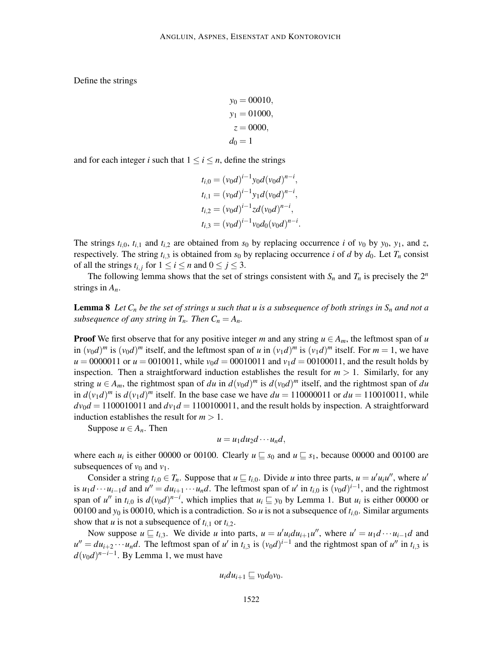Define the strings

$$
y_0 = 00010,
$$
  
\n
$$
y_1 = 01000,
$$
  
\n
$$
z = 0000,
$$
  
\n
$$
d_0 = 1
$$

and for each integer *i* such that  $1 \le i \le n$ , define the strings

$$
t_{i,0} = (v_0d)^{i-1}y_0d(v_0d)^{n-i},
$$
  
\n
$$
t_{i,1} = (v_0d)^{i-1}y_1d(v_0d)^{n-i},
$$
  
\n
$$
t_{i,2} = (v_0d)^{i-1}zd(v_0d)^{n-i},
$$
  
\n
$$
t_{i,3} = (v_0d)^{i-1}v_0d_0(v_0d)^{n-i}.
$$

The strings  $t_{i,0}$ ,  $t_{i,1}$  and  $t_{i,2}$  are obtained from  $s_0$  by replacing occurrence *i* of  $v_0$  by  $y_0$ ,  $y_1$ , and *z*, respectively. The string  $t_{i,3}$  is obtained from  $s_0$  by replacing occurrence *i* of *d* by  $d_0$ . Let  $T_n$  consist of all the strings  $t_{i,j}$  for  $1 \le i \le n$  and  $0 \le j \le 3$ .

The following lemma shows that the set of strings consistent with  $S_n$  and  $T_n$  is precisely the  $2^n$ strings in *An*.

**Lemma 8** Let  $C_n$  be the set of strings u such that u is a subsequence of both strings in  $S_n$  and not a *subsequence of any string in*  $T_n$ *. Then*  $C_n = A_n$ *.* 

**Proof** We first observe that for any positive integer *m* and any string  $u \in A_m$ , the leftmost span of *u* in  $(v_0 d)^m$  is  $(v_0 d)^m$  itself, and the leftmost span of *u* in  $(v_1 d)^m$  is  $(v_1 d)^m$  itself. For  $m = 1$ , we have  $u = 0000011$  or  $u = 0010011$ , while  $v_0d = 00010011$  and  $v_1d = 00100011$ , and the result holds by inspection. Then a straightforward induction establishes the result for  $m > 1$ . Similarly, for any string  $u \in A_m$ , the rightmost span of *du* in  $d(v_0d)^m$  is  $d(v_0d)^m$  itself, and the rightmost span of *du* in  $d(v_1 d)^m$  is  $d(v_1 d)^m$  itself. In the base case we have  $du = 110000011$  or  $du = 110010011$ , while  $dv_0d = 1100010011$  and  $dv_1d = 1100100011$ , and the result holds by inspection. A straightforward induction establishes the result for  $m > 1$ .

Suppose  $u \in A_n$ . Then

$$
u = u_1 du_2 d \cdots u_n d,
$$

where each  $u_i$  is either 00000 or 00100. Clearly  $u \sqsubseteq s_0$  and  $u \sqsubseteq s_1$ , because 00000 and 00100 are subsequences of  $v_0$  and  $v_1$ .

Consider a string  $t_{i,0} \in T_n$ . Suppose that  $u \sqsubseteq t_{i,0}$ . Divide *u* into three parts,  $u = u'u_iu''$ , where  $u'$ is  $u_1d\cdots u_{i-1}d$  and  $u'' = du_{i+1}\cdots u_nd$ . The leftmost span of u' in  $t_{i,0}$  is  $(v_0d)^{i-1}$ , and the rightmost span of *u*<sup>*''*</sup> in *t*<sub>*i*,0</sub> is  $d(v_0d)^{n-i}$ , which implies that  $u_i \sqsubseteq y_0$  by Lemma 1. But  $u_i$  is either 00000 or 00100 and  $y_0$  is 00010, which is a contradiction. So *u* is not a subsequence of  $t_{i,0}$ . Similar arguments show that *u* is not a subsequence of  $t_{i,1}$  or  $t_{i,2}$ .

Now suppose  $u \sqsubseteq t_{i,3}$ . We divide *u* into parts,  $u = u'u_i du_{i+1}u''$ , where  $u' = u_1 d \cdots u_{i-1} d$  and  $u'' = du_{i+2} \cdots u_n d$ . The leftmost span of *u*' in  $t_{i,3}$  is  $(v_0 d)^{i-1}$  and the rightmost span of *u*'' in  $t_{i,3}$  is  $d(v_0d)^{n-i-1}$ . By Lemma 1, we must have

$$
u_i du_{i+1} \sqsubseteq v_0 d_0 v_0.
$$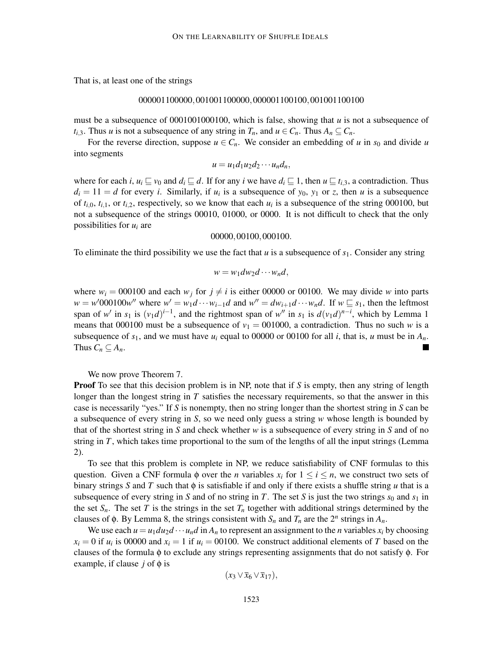That is, at least one of the strings

### 000001100000,001001100000,000001100100,001001100100

must be a subsequence of  $0001001000100$ , which is false, showing that  $u$  is not a subsequence of *t*<sub>*i*</sub>,3. Thus *u* is not a subsequence of any string in  $T_n$ , and  $u \in C_n$ . Thus  $A_n \subseteq C_n$ .

For the reverse direction, suppose  $u \in C_n$ . We consider an embedding of *u* in  $s_0$  and divide *u* into segments

 $u = u_1 d_1 u_2 d_2 \cdots u_n d_n$ 

where for each *i*,  $u_i \subseteq v_0$  and  $d_i \subseteq d$ . If for any *i* we have  $d_i \subseteq 1$ , then  $u \subseteq t_{i,3}$ , a contradiction. Thus  $d_i = 11 = d$  for every *i*. Similarly, if  $u_i$  is a subsequence of  $y_0$ ,  $y_1$  or *z*, then *u* is a subsequence of  $t_{i,0}$ ,  $t_{i,1}$ , or  $t_{i,2}$ , respectively, so we know that each  $u_i$  is a subsequence of the string 000100, but not a subsequence of the strings 00010, 01000, or 0000. It is not difficult to check that the only possibilities for *u<sup>i</sup>* are

00000,00100,000100.

To eliminate the third possibility we use the fact that *u* is a subsequence of *s*1. Consider any string

$$
w = w_1 dw_2 d \cdots w_n d,
$$

where  $w_i = 000100$  and each  $w_j$  for  $j \neq i$  is either 00000 or 00100. We may divide w into parts  $w = w'000100w''$  where  $w' = w_1d \cdots w_{i-1}d$  and  $w'' = dw_{i+1}d \cdots w_n d$ . If  $w \subseteq s_1$ , then the leftmost span of *w'* in  $s_1$  is  $(v_1d)^{i-1}$ , and the rightmost span of *w''* in  $s_1$  is  $d(v_1d)^{n-i}$ , which by Lemma 1 means that 000100 must be a subsequence of  $v_1 = 001000$ , a contradiction. Thus no such *w* is a subsequence of  $s_1$ , and we must have  $u_i$  equal to 00000 or 00100 for all *i*, that is, *u* must be in  $A_n$ . Thus  $C_n \subseteq A_n$ .  $\blacksquare$ 

We now prove Theorem 7.

Proof To see that this decision problem is in NP, note that if *S* is empty, then any string of length longer than the longest string in *T* satisfies the necessary requirements, so that the answer in this case is necessarily "yes." If *S* is nonempty, then no string longer than the shortest string in *S* can be a subsequence of every string in *S*, so we need only guess a string *w* whose length is bounded by that of the shortest string in *S* and check whether *w* is a subsequence of every string in *S* and of no string in *T*, which takes time proportional to the sum of the lengths of all the input strings (Lemma 2).

To see that this problem is complete in NP, we reduce satisfiability of CNF formulas to this question. Given a CNF formula  $\phi$  over the *n* variables  $x_i$  for  $1 \le i \le n$ , we construct two sets of binary strings *S* and *T* such that φ is satisfiable if and only if there exists a shuffle string *u* that is a subsequence of every string in *S* and of no string in *T*. The set *S* is just the two strings  $s_0$  and  $s_1$  in the set  $S_n$ . The set *T* is the strings in the set  $T_n$  together with additional strings determined by the clauses of  $\phi$ . By Lemma 8, the strings consistent with  $S_n$  and  $T_n$  are the  $2^n$  strings in  $A_n$ .

We use each  $u = u_1 du_2 d \cdots u_n d$  in  $A_n$  to represent an assignment to the *n* variables  $x_i$  by choosing  $x_i = 0$  if  $u_i$  is 00000 and  $x_i = 1$  if  $u_i = 00100$ . We construct additional elements of *T* based on the clauses of the formula  $\phi$  to exclude any strings representing assignments that do not satisfy  $\phi$ . For example, if clause  $j$  of  $\phi$  is

$$
(x_3 \vee \overline{x}_6 \vee \overline{x}_{17}),
$$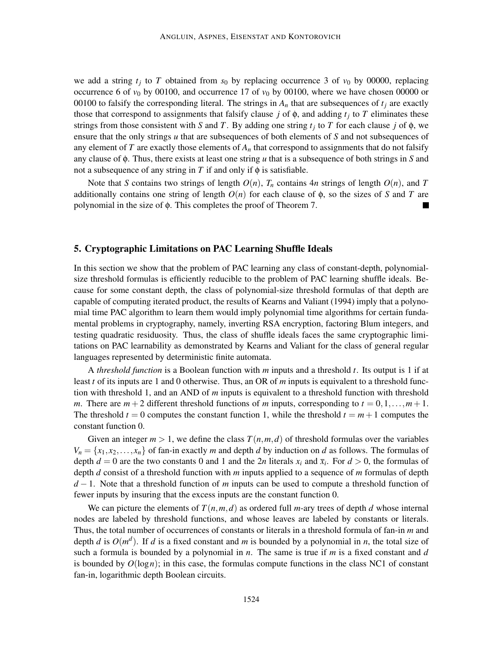we add a string  $t_j$  to T obtained from  $s_0$  by replacing occurrence 3 of  $v_0$  by 00000, replacing occurrence 6 of  $v_0$  by 00100, and occurrence 17 of  $v_0$  by 00100, where we have chosen 00000 or 00100 to falsify the corresponding literal. The strings in  $A_n$  that are subsequences of  $t_j$  are exactly those that correspond to assignments that falsify clause *j* of  $\phi$ , and adding  $t_j$  to *T* eliminates these strings from those consistent with *S* and *T*. By adding one string  $t_j$  to *T* for each clause *j* of  $\phi$ , we ensure that the only strings *u* that are subsequences of both elements of *S* and not subsequences of any element of  $T$  are exactly those elements of  $A_n$  that correspond to assignments that do not falsify any clause of φ. Thus, there exists at least one string *u* that is a subsequence of both strings in *S* and not a subsequence of any string in *T* if and only if  $\phi$  is satisfiable.

Note that *S* contains two strings of length  $O(n)$ ,  $T_n$  contains 4*n* strings of length  $O(n)$ , and *T* additionally contains one string of length  $O(n)$  for each clause of  $\phi$ , so the sizes of *S* and *T* are polynomial in the size of φ. This completes the proof of Theorem 7.

# 5. Cryptographic Limitations on PAC Learning Shuffle Ideals

In this section we show that the problem of PAC learning any class of constant-depth, polynomialsize threshold formulas is efficiently reducible to the problem of PAC learning shuffle ideals. Because for some constant depth, the class of polynomial-size threshold formulas of that depth are capable of computing iterated product, the results of Kearns and Valiant (1994) imply that a polynomial time PAC algorithm to learn them would imply polynomial time algorithms for certain fundamental problems in cryptography, namely, inverting RSA encryption, factoring Blum integers, and testing quadratic residuosity. Thus, the class of shuffle ideals faces the same cryptographic limitations on PAC learnability as demonstrated by Kearns and Valiant for the class of general regular languages represented by deterministic finite automata.

A *threshold function* is a Boolean function with *m* inputs and a threshold *t*. Its output is 1 if at least *t* of its inputs are 1 and 0 otherwise. Thus, an OR of *m* inputs is equivalent to a threshold function with threshold 1, and an AND of *m* inputs is equivalent to a threshold function with threshold *m*. There are  $m+2$  different threshold functions of *m* inputs, corresponding to  $t = 0,1,...,m+1$ . The threshold  $t = 0$  computes the constant function 1, while the threshold  $t = m + 1$  computes the constant function 0.

Given an integer  $m > 1$ , we define the class  $T(n, m, d)$  of threshold formulas over the variables  $V_n = \{x_1, x_2, \dots, x_n\}$  of fan-in exactly *m* and depth *d* by induction on *d* as follows. The formulas of depth  $d = 0$  are the two constants 0 and 1 and the 2*n* literals  $x_i$  and  $\bar{x}_i$ . For  $d > 0$ , the formulas of depth *d* consist of a threshold function with *m* inputs applied to a sequence of *m* formulas of depth *d* − 1. Note that a threshold function of *m* inputs can be used to compute a threshold function of fewer inputs by insuring that the excess inputs are the constant function 0.

We can picture the elements of  $T(n,m,d)$  as ordered full *m*-ary trees of depth *d* whose internal nodes are labeled by threshold functions, and whose leaves are labeled by constants or literals. Thus, the total number of occurrences of constants or literals in a threshold formula of fan-in *m* and depth *d* is  $O(m^d)$ . If *d* is a fixed constant and *m* is bounded by a polynomial in *n*, the total size of such a formula is bounded by a polynomial in *n*. The same is true if *m* is a fixed constant and *d* is bounded by  $O(log n)$ ; in this case, the formulas compute functions in the class NC1 of constant fan-in, logarithmic depth Boolean circuits.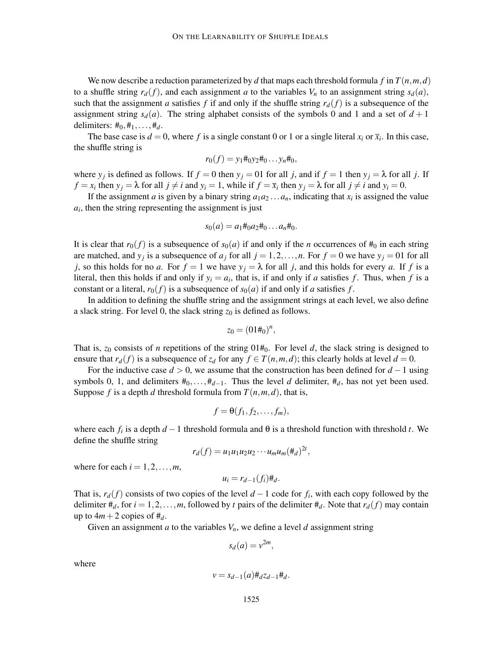We now describe a reduction parameterized by *d* that maps each threshold formula *f* in  $T(n, m, d)$ to a shuffle string  $r_d(f)$ , and each assignment *a* to the variables  $V_n$  to an assignment string  $s_d(a)$ , such that the assignment *a* satisfies *f* if and only if the shuffle string  $r_d(f)$  is a subsequence of the assignment string  $s_d(a)$ . The string alphabet consists of the symbols 0 and 1 and a set of  $d+1$ delimiters:  $\#_0, \#_1, \ldots, \#_d$ .

The base case is  $d = 0$ , where f is a single constant 0 or 1 or a single literal  $x_i$  or  $\bar{x}_i$ . In this case, the shuffle string is

$$
r_0(f) = y_1 \#_0 y_2 \#_0 \dots y_n \#_0,
$$

where  $y_j$  is defined as follows. If  $f = 0$  then  $y_j = 01$  for all *j*, and if  $f = 1$  then  $y_j = \lambda$  for all *j*. If  $f = x_i$  then  $y_j = \lambda$  for all  $j \neq i$  and  $y_i = 1$ , while if  $f = \overline{x}_i$  then  $y_j = \lambda$  for all  $j \neq i$  and  $y_i = 0$ .

If the assignment *a* is given by a binary string  $a_1 a_2 \ldots a_n$ , indicating that  $x_i$  is assigned the value  $a_i$ , then the string representing the assignment is just

$$
s_0(a) = a_1 \#_0 a_2 \#_0 \dots a_n \#_0.
$$

It is clear that  $r_0(f)$  is a subsequence of  $s_0(a)$  if and only if the *n* occurrences of  $\#_0$  in each string are matched, and  $y_j$  is a subsequence of  $a_j$  for all  $j = 1, 2, ..., n$ . For  $f = 0$  we have  $y_j = 01$  for all *j*, so this holds for no *a*. For  $f = 1$  we have  $y_j = \lambda$  for all *j*, and this holds for every *a*. If *f* is a literal, then this holds if and only if  $y_i = a_i$ , that is, if and only if *a* satisfies *f*. Thus, when *f* is a constant or a literal,  $r_0(f)$  is a subsequence of  $s_0(a)$  if and only if *a* satisfies *f*.

In addition to defining the shuffle string and the assignment strings at each level, we also define a slack string. For level 0, the slack string  $z_0$  is defined as follows.

$$
z_0 = (01\#_0)^n,
$$

That is,  $z_0$  consists of *n* repetitions of the string  $01\#_0$ . For level *d*, the slack string is designed to ensure that  $r_d(f)$  is a subsequence of  $z_d$  for any  $f \in T(n,m,d)$ ; this clearly holds at level  $d = 0$ .

For the inductive case  $d > 0$ , we assume that the construction has been defined for  $d - 1$  using symbols 0, 1, and delimiters  $#_0$ ,..., $#_{d-1}$ . Thus the level *d* delimiter,  $#_d$ , has not yet been used. Suppose *f* is a depth *d* threshold formula from  $T(n, m, d)$ , that is,

$$
f=\Theta(f_1,f_2,\ldots,f_m),
$$

where each  $f_i$  is a depth  $d-1$  threshold formula and  $\theta$  is a threshold function with threshold *t*. We define the shuffle string

$$
r_d(f) = u_1u_1u_2u_2\cdots u_mu_m(\ddot{H}_d)^{2t},
$$

where for each  $i = 1, 2, \ldots, m$ ,

$$
u_i = r_{d-1}(f_i) \#_d.
$$

That is,  $r_d(f)$  consists of two copies of the level  $d-1$  code for  $f_i$ , with each copy followed by the delimiter  $#_d$ , for  $i = 1, 2, ..., m$ , followed by *t* pairs of the delimiter  $#_d$ . Note that  $r_d(f)$  may contain up to  $4m+2$  copies of  $\ddagger_d$ .

Given an assignment *a* to the variables  $V_n$ , we define a level *d* assignment string

$$
s_d(a) = v^{2m},
$$

where

$$
v = s_{d-1}(a) \#_d z_{d-1} \#_d.
$$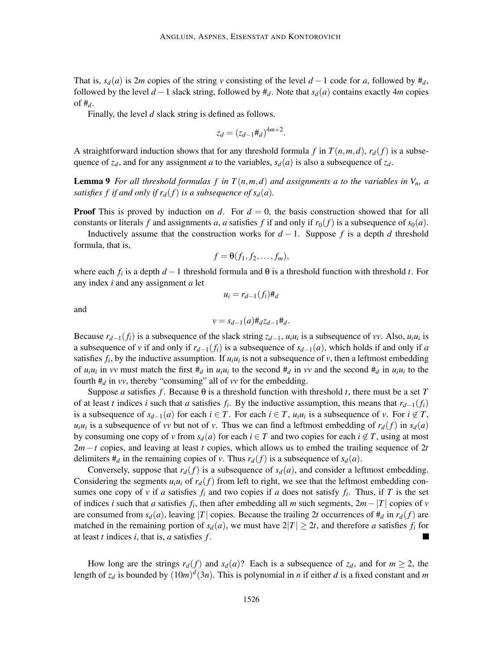That is,  $s_d(a)$  is 2*m* copies of the string *v* consisting of the level  $d-1$  code for *a*, followed by  $\#_d$ , followed by the level  $d-1$  slack string, followed by  $\#_d$ . Note that  $s_d(a)$  contains exactly 4*m* copies of #*d*.

Finally, the level *d* slack string is defined as follows.

$$
z_d = (z_{d-1} \#_d)^{4m+2}
$$

.

A straightforward induction shows that for any threshold formula *f* in  $T(n,m,d)$ ,  $r_d(f)$  is a subsequence of  $z_d$ , and for any assignment *a* to the variables,  $s_d(a)$  is also a subsequence of  $z_d$ .

**Lemma 9** *For all threshold formulas f in*  $T(n,m,d)$  *and assignments a to the variables in*  $V_n$ *, a satisfies f if and only if*  $r_d(f)$  *is a subsequence of*  $s_d(a)$ *.* 

**Proof** This is proved by induction on *d*. For  $d = 0$ , the basis construction showed that for all constants or literals f and assignments a, a satisfies f if and only if  $r_0(f)$  is a subsequence of  $s_0(a)$ .

Inductively assume that the construction works for  $d-1$ . Suppose f is a depth d threshold formula, that is,

$$
f=\Theta(f_1,f_2,\ldots,f_m),
$$

where each  $f_i$  is a depth  $d-1$  threshold formula and  $\theta$  is a threshold function with threshold *t*. For any index *i* and any assignment *a* let

$$
u_i = r_{d-1}(f_i) \#_d
$$

and

$$
v = s_{d-1}(a) \#_d z_{d-1} \#_d.
$$

Because  $r_{d-1}(f_i)$  is a subsequence of the slack string  $z_{d-1}$ ,  $u_i u_i$  is a subsequence of *vv*. Also,  $u_i u_i$  is a subsequence of *v* if and only if  $r_{d-1}(f_i)$  is a subsequence of  $s_{d-1}(a)$ , which holds if and only if *a* satisfies  $f_i$ , by the inductive assumption. If  $u_i u_i$  is not a subsequence of  $v$ , then a leftmost embedding of  $u_i u_i$  in *vv* must match the first  $\#_d$  in  $u_i u_i$  to the second  $\#_d$  in *vv* and the second  $\#_d$  in  $u_i u_i$  to the fourth  $#_d$  in *vv*, thereby "consuming" all of *vv* for the embedding.

Suppose *a* satisfies *f*. Because  $\theta$  is a threshold function with threshold *t*, there must be a set *T* of at least *t* indices *i* such that *a* satisfies  $f_i$ . By the inductive assumption, this means that  $r_{d-1}(f_i)$ is a subsequence of  $s_{d-1}(a)$  for each  $i \in T$ . For each  $i \in T$ ,  $u_i u_i$  is a subsequence of *v*. For  $i \notin T$ ,  $u_i u_i$  is a subsequence of *vv* but not of *v*. Thus we can find a leftmost embedding of  $r_d(f)$  in  $s_d(a)$ by consuming one copy of *v* from  $s_d(a)$  for each  $i \in T$  and two copies for each  $i \notin T$ , using at most 2*m* −*t* copies, and leaving at least *t* copies, which allows us to embed the trailing sequence of 2*t* delimiters  $\#_d$  in the remaining copies of *v*. Thus  $r_d(f)$  is a subsequence of  $s_d(a)$ .

Conversely, suppose that  $r_d(f)$  is a subsequence of  $s_d(a)$ , and consider a leftmost embedding. Considering the segments  $u_i u_i$  of  $r_d(f)$  from left to right, we see that the leftmost embedding consumes one copy of *v* if *a* satisfies  $f_i$  and two copies if *a* does not satisfy  $f_i$ . Thus, if *T* is the set of indices *i* such that *a* satisfies  $f_i$ , then after embedding all *m* such segments,  $2m - |T|$  copies of *v* are consumed from  $s_d(a)$ , leaving |*T*| copies. Because the trailing 2*t* occurrences of  $#_d$  in  $r_d(f)$  are matched in the remaining portion of  $s_d(a)$ , we must have  $2|T| \geq 2t$ , and therefore *a* satisfies  $f_i$  for at least *t* indices *i*, that is, *a* satisfies *f* . П

How long are the strings  $r_d(f)$  and  $s_d(a)$ ? Each is a subsequence of  $z_d$ , and for  $m \ge 2$ , the length of  $z_d$  is bounded by  $(10m)^d(3n)$ . This is polynomial in *n* if either *d* is a fixed constant and *m*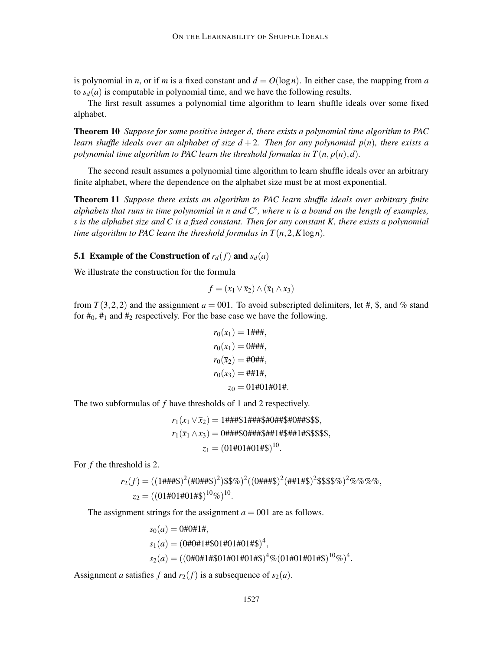is polynomial in *n*, or if *m* is a fixed constant and  $d = O(\log n)$ . In either case, the mapping from *a* to  $s_d(a)$  is computable in polynomial time, and we have the following results.

The first result assumes a polynomial time algorithm to learn shuffle ideals over some fixed alphabet.

Theorem 10 *Suppose for some positive integer d, there exists a polynomial time algorithm to PAC learn shuffle ideals over an alphabet of size*  $d + 2$ *. Then for any polynomial*  $p(n)$ *, there exists a polynomial time algorithm to PAC learn the threshold formulas in*  $T(n, p(n), d)$ *.* 

The second result assumes a polynomial time algorithm to learn shuffle ideals over an arbitrary finite alphabet, where the dependence on the alphabet size must be at most exponential.

Theorem 11 *Suppose there exists an algorithm to PAC learn shuffle ideals over arbitrary finite alphabets that runs in time polynomial in n and C<sup>s</sup> , where n is a bound on the length of examples, s is the alphabet size and C is a fixed constant. Then for any constant K, there exists a polynomial time algorithm to PAC learn the threshold formulas in*  $T(n, 2, K \log n)$ *.* 

### **5.1** Example of the Construction of  $r_d(f)$  and  $s_d(a)$

We illustrate the construction for the formula

$$
f = (x_1 \vee \overline{x}_2) \wedge (\overline{x}_1 \wedge x_3)
$$

from  $T(3,2,2)$  and the assignment  $a = 001$ . To avoid subscripted delimiters, let #, \$, and % stand for  $\#_0$ ,  $\#_1$  and  $\#_2$  respectively. For the base case we have the following.

$$
r_0(x_1) = 1\# \# \#
$$
\n
$$
r_0(\overline{x}_1) = 0\# \# \#
$$
\n
$$
r_0(\overline{x}_2) = \# 0\# \#
$$
\n
$$
r_0(x_3) = \# \# 1\#
$$
\n
$$
z_0 = 01 \# 01 \# 01 \#
$$

The two subformulas of *f* have thresholds of 1 and 2 respectively.

$$
r_1(x_1 \vee \overline{x}_2) = 1\frac{\# \# \# \$1\frac{\# \# \$}{\# \$}}{1\frac{\# \$}{\# \$}}0\frac{\# \# \$}{1\frac{\# \$}{\# \$}}5\$\$},
$$
  

$$
r_1(\overline{x}_1 \wedge x_3) = 0\frac{\# \# \$}{1\frac{\# \$}{\# \$}}1\frac{\# \$}{1\frac{\# \$}{1\frac{\# \$}}5\$\$},
$$
  

$$
z_1 = (01\frac{\# 01\# 01\# \$}{1\frac{\# \$}})^{10}.
$$

For *f* the threshold is 2.

$$
r_2(f) = ((1\#4\#4\%)^2(\#0\#4\%)^2(\$6\#4\#4\%)^2(\#41\#4\%)^2\$\$\$\$\%^2\%\%\%\%,
$$
  

$$
z_2 = ((01\#01\#01\#4\%)^{10}\%)^{10}.
$$

The assignment strings for the assignment  $a = 001$  are as follows.

$$
s_0(a) = 0\#0\#1\#, s_1(a) = (0\#0\#1\#\$01\#01\#01\#\$)^4,s_2(a) = ((0\#0\#1\#\$01\#01\#01\#\$)^4\% (01\#01\#01\#\$)^{10}\%)^4.
$$

Assignment *a* satisfies *f* and  $r_2(f)$  is a subsequence of  $s_2(a)$ .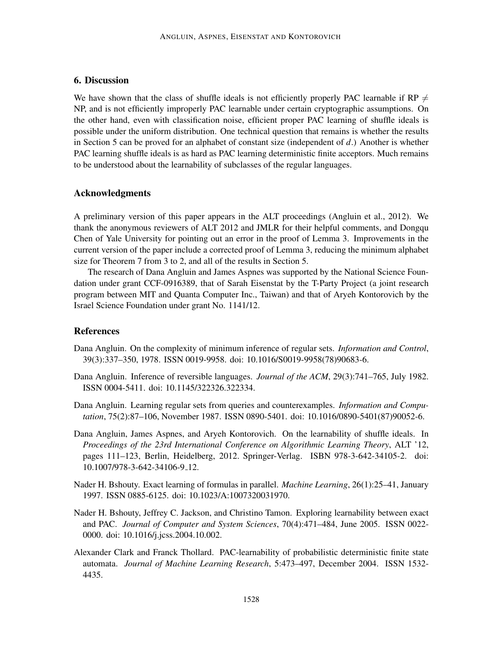# 6. Discussion

We have shown that the class of shuffle ideals is not efficiently properly PAC learnable if RP  $\neq$ NP, and is not efficiently improperly PAC learnable under certain cryptographic assumptions. On the other hand, even with classification noise, efficient proper PAC learning of shuffle ideals is possible under the uniform distribution. One technical question that remains is whether the results in Section 5 can be proved for an alphabet of constant size (independent of *d*.) Another is whether PAC learning shuffle ideals is as hard as PAC learning deterministic finite acceptors. Much remains to be understood about the learnability of subclasses of the regular languages.

# Acknowledgments

A preliminary version of this paper appears in the ALT proceedings (Angluin et al., 2012). We thank the anonymous reviewers of ALT 2012 and JMLR for their helpful comments, and Dongqu Chen of Yale University for pointing out an error in the proof of Lemma 3. Improvements in the current version of the paper include a corrected proof of Lemma 3, reducing the minimum alphabet size for Theorem 7 from 3 to 2, and all of the results in Section 5.

The research of Dana Angluin and James Aspnes was supported by the National Science Foundation under grant CCF-0916389, that of Sarah Eisenstat by the T-Party Project (a joint research program between MIT and Quanta Computer Inc., Taiwan) and that of Aryeh Kontorovich by the Israel Science Foundation under grant No. 1141/12.

## References

- Dana Angluin. On the complexity of minimum inference of regular sets. *Information and Control*, 39(3):337–350, 1978. ISSN 0019-9958. doi: 10.1016/S0019-9958(78)90683-6.
- Dana Angluin. Inference of reversible languages. *Journal of the ACM*, 29(3):741–765, July 1982. ISSN 0004-5411. doi: 10.1145/322326.322334.
- Dana Angluin. Learning regular sets from queries and counterexamples. *Information and Computation*, 75(2):87–106, November 1987. ISSN 0890-5401. doi: 10.1016/0890-5401(87)90052-6.
- Dana Angluin, James Aspnes, and Aryeh Kontorovich. On the learnability of shuffle ideals. In *Proceedings of the 23rd International Conference on Algorithmic Learning Theory*, ALT '12, pages 111–123, Berlin, Heidelberg, 2012. Springer-Verlag. ISBN 978-3-642-34105-2. doi: 10.1007/978-3-642-34106-9 12.
- Nader H. Bshouty. Exact learning of formulas in parallel. *Machine Learning*, 26(1):25–41, January 1997. ISSN 0885-6125. doi: 10.1023/A:1007320031970.
- Nader H. Bshouty, Jeffrey C. Jackson, and Christino Tamon. Exploring learnability between exact and PAC. *Journal of Computer and System Sciences*, 70(4):471–484, June 2005. ISSN 0022- 0000. doi: 10.1016/j.jcss.2004.10.002.
- Alexander Clark and Franck Thollard. PAC-learnability of probabilistic deterministic finite state automata. *Journal of Machine Learning Research*, 5:473–497, December 2004. ISSN 1532- 4435.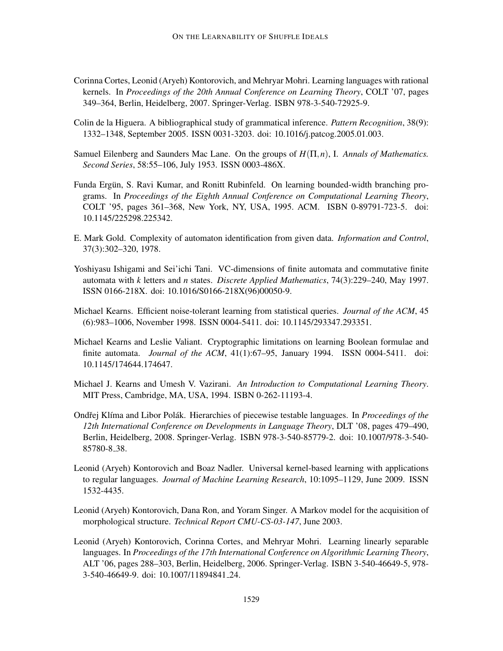- Corinna Cortes, Leonid (Aryeh) Kontorovich, and Mehryar Mohri. Learning languages with rational kernels. In *Proceedings of the 20th Annual Conference on Learning Theory*, COLT '07, pages 349–364, Berlin, Heidelberg, 2007. Springer-Verlag. ISBN 978-3-540-72925-9.
- Colin de la Higuera. A bibliographical study of grammatical inference. *Pattern Recognition*, 38(9): 1332–1348, September 2005. ISSN 0031-3203. doi: 10.1016/j.patcog.2005.01.003.
- Samuel Eilenberg and Saunders Mac Lane. On the groups of *H*(Π,*n*), I. *Annals of Mathematics. Second Series*, 58:55–106, July 1953. ISSN 0003-486X.
- Funda Ergün, S. Ravi Kumar, and Ronitt Rubinfeld. On learning bounded-width branching programs. In *Proceedings of the Eighth Annual Conference on Computational Learning Theory*, COLT '95, pages 361–368, New York, NY, USA, 1995. ACM. ISBN 0-89791-723-5. doi: 10.1145/225298.225342.
- E. Mark Gold. Complexity of automaton identification from given data. *Information and Control*, 37(3):302–320, 1978.
- Yoshiyasu Ishigami and Sei'ichi Tani. VC-dimensions of finite automata and commutative finite automata with *k* letters and *n* states. *Discrete Applied Mathematics*, 74(3):229–240, May 1997. ISSN 0166-218X. doi: 10.1016/S0166-218X(96)00050-9.
- Michael Kearns. Efficient noise-tolerant learning from statistical queries. *Journal of the ACM*, 45 (6):983–1006, November 1998. ISSN 0004-5411. doi: 10.1145/293347.293351.
- Michael Kearns and Leslie Valiant. Cryptographic limitations on learning Boolean formulae and finite automata. *Journal of the ACM*, 41(1):67–95, January 1994. ISSN 0004-5411. doi: 10.1145/174644.174647.
- Michael J. Kearns and Umesh V. Vazirani. *An Introduction to Computational Learning Theory*. MIT Press, Cambridge, MA, USA, 1994. ISBN 0-262-11193-4.
- Ondřej Klíma and Libor Polák. Hierarchies of piecewise testable languages. In *Proceedings of the 12th International Conference on Developments in Language Theory*, DLT '08, pages 479–490, Berlin, Heidelberg, 2008. Springer-Verlag. ISBN 978-3-540-85779-2. doi: 10.1007/978-3-540- 85780-8 38.
- Leonid (Aryeh) Kontorovich and Boaz Nadler. Universal kernel-based learning with applications to regular languages. *Journal of Machine Learning Research*, 10:1095–1129, June 2009. ISSN 1532-4435.
- Leonid (Aryeh) Kontorovich, Dana Ron, and Yoram Singer. A Markov model for the acquisition of morphological structure. *Technical Report CMU-CS-03-147*, June 2003.
- Leonid (Aryeh) Kontorovich, Corinna Cortes, and Mehryar Mohri. Learning linearly separable languages. In *Proceedings of the 17th International Conference on Algorithmic Learning Theory*, ALT '06, pages 288–303, Berlin, Heidelberg, 2006. Springer-Verlag. ISBN 3-540-46649-5, 978- 3-540-46649-9. doi: 10.1007/11894841 24.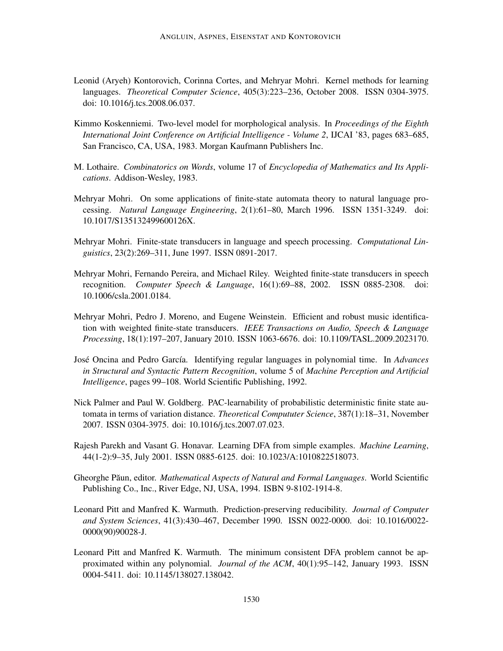- Leonid (Aryeh) Kontorovich, Corinna Cortes, and Mehryar Mohri. Kernel methods for learning languages. *Theoretical Computer Science*, 405(3):223–236, October 2008. ISSN 0304-3975. doi: 10.1016/j.tcs.2008.06.037.
- Kimmo Koskenniemi. Two-level model for morphological analysis. In *Proceedings of the Eighth International Joint Conference on Artificial Intelligence - Volume 2*, IJCAI '83, pages 683–685, San Francisco, CA, USA, 1983. Morgan Kaufmann Publishers Inc.
- M. Lothaire. *Combinatorics on Words*, volume 17 of *Encyclopedia of Mathematics and Its Applications*. Addison-Wesley, 1983.
- Mehryar Mohri. On some applications of finite-state automata theory to natural language processing. *Natural Language Engineering*, 2(1):61–80, March 1996. ISSN 1351-3249. doi: 10.1017/S135132499600126X.
- Mehryar Mohri. Finite-state transducers in language and speech processing. *Computational Linguistics*, 23(2):269–311, June 1997. ISSN 0891-2017.
- Mehryar Mohri, Fernando Pereira, and Michael Riley. Weighted finite-state transducers in speech recognition. *Computer Speech & Language*, 16(1):69–88, 2002. ISSN 0885-2308. doi: 10.1006/csla.2001.0184.
- Mehryar Mohri, Pedro J. Moreno, and Eugene Weinstein. Efficient and robust music identification with weighted finite-state transducers. *IEEE Transactions on Audio, Speech & Language Processing*, 18(1):197–207, January 2010. ISSN 1063-6676. doi: 10.1109/TASL.2009.2023170.
- José Oncina and Pedro García. Identifying regular languages in polynomial time. In *Advances in Structural and Syntactic Pattern Recognition*, volume 5 of *Machine Perception and Artificial Intelligence*, pages 99–108. World Scientific Publishing, 1992.
- Nick Palmer and Paul W. Goldberg. PAC-learnability of probabilistic deterministic finite state automata in terms of variation distance. *Theoretical Compututer Science*, 387(1):18–31, November 2007. ISSN 0304-3975. doi: 10.1016/j.tcs.2007.07.023.
- Rajesh Parekh and Vasant G. Honavar. Learning DFA from simple examples. *Machine Learning*, 44(1-2):9–35, July 2001. ISSN 0885-6125. doi: 10.1023/A:1010822518073.
- Gheorghe Păun, editor. *Mathematical Aspects of Natural and Formal Languages*. World Scientific Publishing Co., Inc., River Edge, NJ, USA, 1994. ISBN 9-8102-1914-8.
- Leonard Pitt and Manfred K. Warmuth. Prediction-preserving reducibility. *Journal of Computer and System Sciences*, 41(3):430–467, December 1990. ISSN 0022-0000. doi: 10.1016/0022- 0000(90)90028-J.
- Leonard Pitt and Manfred K. Warmuth. The minimum consistent DFA problem cannot be approximated within any polynomial. *Journal of the ACM*, 40(1):95–142, January 1993. ISSN 0004-5411. doi: 10.1145/138027.138042.